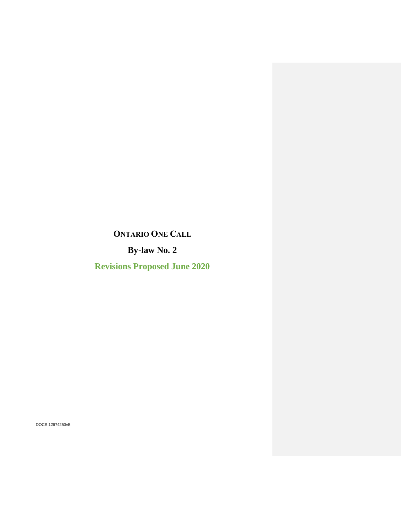# **ONTARIO ONE CALL**

**By-law No. 2**

**Revisions Proposed June 2020**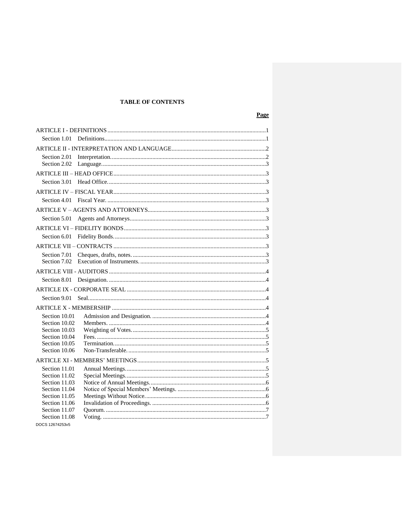# **TABLE OF CONTENTS**

| Section 1.01  |  |  |  |  |
|---------------|--|--|--|--|
|               |  |  |  |  |
| Section 2.01  |  |  |  |  |
| Section 2.02  |  |  |  |  |
|               |  |  |  |  |
| Section 3.01  |  |  |  |  |
|               |  |  |  |  |
| Section 4.01  |  |  |  |  |
|               |  |  |  |  |
| Section 5.01  |  |  |  |  |
|               |  |  |  |  |
| Section 6.01  |  |  |  |  |
|               |  |  |  |  |
| Section 7.01  |  |  |  |  |
|               |  |  |  |  |
|               |  |  |  |  |
| Section 8.01  |  |  |  |  |
|               |  |  |  |  |
| Section 9.01  |  |  |  |  |
|               |  |  |  |  |
| Section 10.01 |  |  |  |  |
| Section 10.02 |  |  |  |  |
| Section 10.03 |  |  |  |  |
| Section 10.04 |  |  |  |  |
| Section 10.05 |  |  |  |  |
| Section 10.06 |  |  |  |  |
|               |  |  |  |  |
| Section 11.01 |  |  |  |  |
| Section 11.02 |  |  |  |  |
| Section 11.03 |  |  |  |  |
| Section 11.04 |  |  |  |  |
| Section 11.05 |  |  |  |  |
| Section 11.06 |  |  |  |  |
| Section 11.07 |  |  |  |  |
| Section 11.08 |  |  |  |  |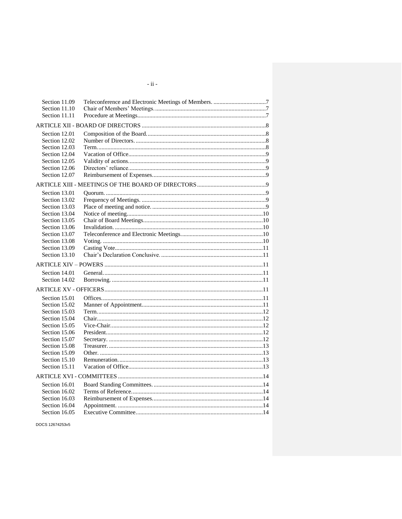| Section 11.09 |  |
|---------------|--|
| Section 11.10 |  |
| Section 11.11 |  |
|               |  |
| Section 12.01 |  |
| Section 12.02 |  |
| Section 12.03 |  |
| Section 12.04 |  |
| Section 12.05 |  |
| Section 12.06 |  |
| Section 12.07 |  |
|               |  |
| Section 13.01 |  |
| Section 13.02 |  |
| Section 13.03 |  |
| Section 13.04 |  |
| Section 13.05 |  |
| Section 13.06 |  |
| Section 13.07 |  |
| Section 13.08 |  |
| Section 13.09 |  |
| Section 13.10 |  |
|               |  |
| Section 14.01 |  |
| Section 14.02 |  |
|               |  |
| Section 15.01 |  |
| Section 15.02 |  |
| Section 15.03 |  |
| Section 15.04 |  |
| Section 15.05 |  |
| Section 15.06 |  |
| Section 15.07 |  |
| Section 15.08 |  |
| Section 15.09 |  |
| Section 15.10 |  |
| Section 15.11 |  |
|               |  |
| Section 16.01 |  |
| Section 16.02 |  |
| Section 16.03 |  |
| Section 16.04 |  |
| Section 16.05 |  |

DOCS 12674253v5

 $\sim$ ii  $\sim$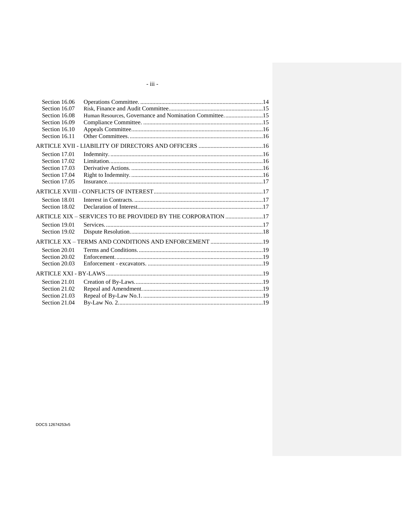| Section 16.06 |                                                             |  |
|---------------|-------------------------------------------------------------|--|
| Section 16.07 |                                                             |  |
| Section 16.08 | Human Resources, Governance and Nomination Committee15      |  |
| Section 16.09 |                                                             |  |
| Section 16.10 |                                                             |  |
| Section 16.11 |                                                             |  |
|               |                                                             |  |
| Section 17.01 |                                                             |  |
| Section 17.02 |                                                             |  |
| Section 17.03 |                                                             |  |
| Section 17.04 |                                                             |  |
| Section 17.05 |                                                             |  |
|               |                                                             |  |
| Section 18.01 |                                                             |  |
| Section 18.02 |                                                             |  |
|               | ARTICLE XIX - SERVICES TO BE PROVIDED BY THE CORPORATION 17 |  |
| Section 19.01 |                                                             |  |
| Section 19.02 |                                                             |  |
|               |                                                             |  |
| Section 20.01 |                                                             |  |
| Section 20.02 |                                                             |  |
| Section 20.03 |                                                             |  |
|               |                                                             |  |
| Section 21.01 |                                                             |  |
| Section 21.02 |                                                             |  |
| Section 21.03 |                                                             |  |
| Section 21.04 |                                                             |  |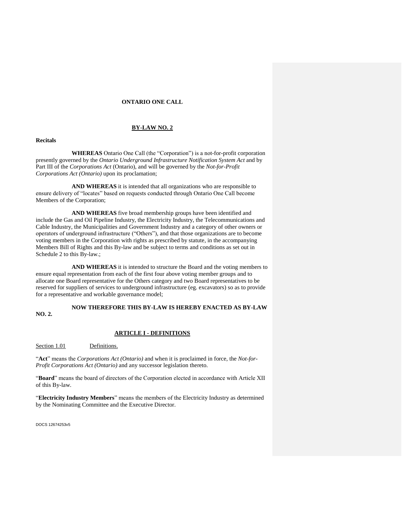#### **ONTARIO ONE CALL**

#### **BY-LAW NO. 2**

# **Recitals**

**WHEREAS** Ontario One Call (the "Corporation") is a not-for-profit corporation presently governed by the *Ontario Underground Infrastructure Notification System Act* and by Part III of the *Corporations Act* (Ontario), and will be governed by the *Not-for-Profit Corporations Act (Ontario)* upon its proclamation;

**AND WHEREAS** it is intended that all organizations who are responsible to ensure delivery of "locates" based on requests conducted through Ontario One Call become Members of the Corporation;

**AND WHEREAS** five broad membership groups have been identified and include the Gas and Oil Pipeline Industry, the Electricity Industry, the Telecommunications and Cable Industry, the Municipalities and Government Industry and a category of other owners or operators of underground infrastructure ("Others"), and that those organizations are to become voting members in the Corporation with rights as prescribed by statute, in the accompanying Members Bill of Rights and this By-law and be subject to terms and conditions as set out in Schedule 2 to this By-law.;

**AND WHEREAS** it is intended to structure the Board and the voting members to ensure equal representation from each of the first four above voting member groups and to allocate one Board representative for the Others category and two Board representatives to be reserved for suppliers of services to underground infrastructure (eg. excavators) so as to provide for a representative and workable governance model;

# **NOW THEREFORE THIS BY-LAW IS HEREBY ENACTED AS BY-LAW NO. 2.**

#### **ARTICLE I - DEFINITIONS**

Section 1.01 Definitions.

"**Act**" means the *Corporations Act (Ontario)* and when it is proclaimed in force, the *Not-for-Profit Corporations Act (Ontario)* and any successor legislation thereto.

"**Board**" means the board of directors of the Corporation elected in accordance with Article XII of this By-law.

"**Electricity Industry Members**" means the members of the Electricity Industry as determined by the Nominating Committee and the Executive Director.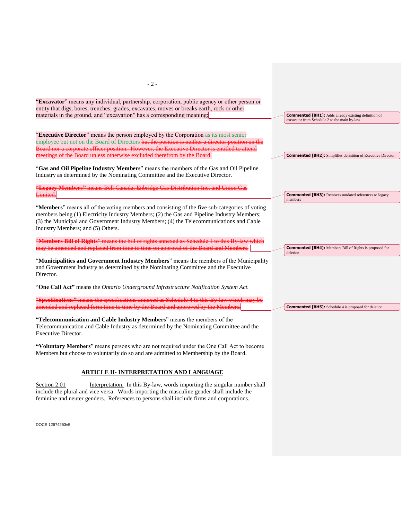| $-2-$                                                                                                                                                                                                                                                                                                                                                                 |                                                                            |
|-----------------------------------------------------------------------------------------------------------------------------------------------------------------------------------------------------------------------------------------------------------------------------------------------------------------------------------------------------------------------|----------------------------------------------------------------------------|
| "Excavator" means any individual, partnership, corporation, public agency or other person or<br>entity that digs, bores, trenches, grades, excavates, moves or breaks earth, rock or other<br>materials in the ground, and "excavation" has a corresponding meaning;                                                                                                  | <b>Commented [BH1]:</b> Adds already existing definition of                |
|                                                                                                                                                                                                                                                                                                                                                                       | excavator from Schedule 2 to the main by-law                               |
| "Executive Director" means the person employed by the Corporation as its most senior<br>employee but not on the Board of Directors but the position is neither a director position on the<br>Board nor a corporate officer position. However, the Executive Director is entitled to attend<br>meetings of the Board unless otherwise excluded therefrom by the Board. | <b>Commented [BH2]:</b> Simplifies definition of Executive Director        |
| "Gas and Oil Pipeline Industry Members" means the members of the Gas and Oil Pipeline<br>Industry as determined by the Nominating Committee and the Executive Director.                                                                                                                                                                                               |                                                                            |
| "Legacy Members" means Bell Canada, Enbridge Gas Distribution Inc. and Union Gas<br>Limited.                                                                                                                                                                                                                                                                          | <b>Commented [BH3]:</b> Removes outdated references to legacy<br>members   |
| "Members" means all of the voting members and consisting of the five sub-categories of voting<br>members being (1) Electricity Industry Members; (2) the Gas and Pipeline Industry Members;<br>(3) the Municipal and Government Industry Members; (4) the Telecommunications and Cable<br>Industry Members; and (5) Others.                                           |                                                                            |
| "Members Bill of Rights" means the bill of rights annexed as Schedule 1 to this By law which<br>may be amended and replaced from time to time on approval of the Board and Members.                                                                                                                                                                                   | <b>Commented [BH4]:</b> Members Bill of Rights is proposed for<br>deletion |
| "Municipalities and Government Industry Members" means the members of the Municipality<br>and Government Industry as determined by the Nominating Committee and the Executive<br>Director.                                                                                                                                                                            |                                                                            |
| "One Call Act" means the Ontario Underground Infrastructure Notification System Act.                                                                                                                                                                                                                                                                                  |                                                                            |
| "Specifications" means the specifications annexed as Schedule 4 to this By-law which may be<br>amended and replaced form time to time by the Board and approved by the Members.                                                                                                                                                                                       | <b>Commented [BH5]:</b> Schedule 4 is proposed for deletion                |
| "Telecommunication and Cable Industry Members" means the members of the<br>Telecommunication and Cable Industry as determined by the Nominating Committee and the<br><b>Executive Director.</b>                                                                                                                                                                       |                                                                            |
| "Voluntary Members" means persons who are not required under the One Call Act to become<br>Members but choose to voluntarily do so and are admitted to Membership by the Board.                                                                                                                                                                                       |                                                                            |
| <b>ARTICLE II- INTERPRETATION AND LANGUAGE</b>                                                                                                                                                                                                                                                                                                                        |                                                                            |
| Interpretation. In this By-law, words importing the singular number shall<br>Section 2.01<br>include the plural and vice versa. Words importing the masculine gender shall include the                                                                                                                                                                                |                                                                            |

DOCS 12674253v5

feminine and neuter genders. References to persons shall include firms and corporations.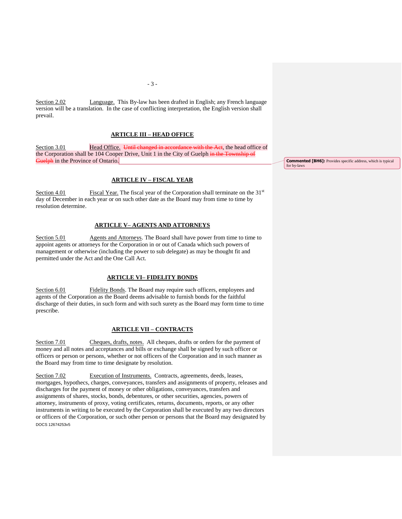Section 2.02 Language. This By-law has been drafted in English; any French language version will be a translation. In the case of conflicting interpretation, the English version shall prevail.

#### **ARTICLE III – HEAD OFFICE**

Section 3.01 **Head Office.** Until changed in accordance with the Act, the head office of the Corporation shall be 104 Cooper Drive, Unit 1 in the City of Guelph in the Township of Guelph in the Province of Ontario.

# **ARTICLE IV – FISCAL YEAR**

Section 4.01 Fiscal Year. The fiscal year of the Corporation shall terminate on the  $31<sup>st</sup>$ day of December in each year or on such other date as the Board may from time to time by resolution determine.

### **ARTICLE V– AGENTS AND ATTORNEYS**

Section 5.01 Agents and Attorneys. The Board shall have power from time to time to appoint agents or attorneys for the Corporation in or out of Canada which such powers of management or otherwise (including the power to sub delegate) as may be thought fit and permitted under the Act and the One Call Act.

### **ARTICLE VI– FIDELITY BONDS**

Section 6.01 Fidelity Bonds. The Board may require such officers, employees and agents of the Corporation as the Board deems advisable to furnish bonds for the faithful discharge of their duties, in such form and with such surety as the Board may form time to time prescribe.

#### **ARTICLE VII – CONTRACTS**

Section 7.01 Cheques, drafts, notes. All cheques, drafts or orders for the payment of money and all notes and acceptances and bills or exchange shall be signed by such officer or officers or person or persons, whether or not officers of the Corporation and in such manner as the Board may from time to time designate by resolution.

DOCS 12674253v5 Section 7.02 Execution of Instruments. Contracts, agreements, deeds, leases, mortgages, hypothecs, charges, conveyances, transfers and assignments of property, releases and discharges for the payment of money or other obligations, conveyances, transfers and assignments of shares, stocks, bonds, debentures, or other securities, agencies, powers of attorney, instruments of proxy, voting certificates, returns, documents, reports, or any other instruments in writing to be executed by the Corporation shall be executed by any two directors or officers of the Corporation, or such other person or persons that the Board may designated by

**Commented [BH6]:** Provides specific address, which is typical for by-laws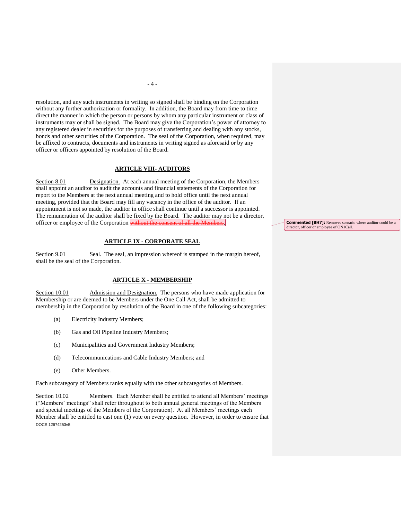resolution, and any such instruments in writing so signed shall be binding on the Corporation without any further authorization or formality. In addition, the Board may from time to time direct the manner in which the person or persons by whom any particular instrument or class of instruments may or shall be signed. The Board may give the Corporation's power of attorney to any registered dealer in securities for the purposes of transferring and dealing with any stocks, bonds and other securities of the Corporation. The seal of the Corporation, when required, may be affixed to contracts, documents and instruments in writing signed as aforesaid or by any officer or officers appointed by resolution of the Board.

#### **ARTICLE VIII- AUDITORS**

Section 8.01 Designation. At each annual meeting of the Corporation, the Members shall appoint an auditor to audit the accounts and financial statements of the Corporation for report to the Members at the next annual meeting and to hold office until the next annual meeting, provided that the Board may fill any vacancy in the office of the auditor. If an appointment is not so made, the auditor in office shall continue until a successor is appointed. The remuneration of the auditor shall be fixed by the Board. The auditor may not be a director, officer or employee of the Corporation without the consent of all the Members.

# **ARTICLE IX - CORPORATE SEAL**

Section 9.01 Seal. The seal, an impression whereof is stamped in the margin hereof, shall be the seal of the Corporation.

# **ARTICLE X - MEMBERSHIP**

Section 10.01 Admission and Designation. The persons who have made application for Membership or are deemed to be Members under the One Call Act, shall be admitted to membership in the Corporation by resolution of the Board in one of the following subcategories:

- (a) Electricity Industry Members;
- (b) Gas and Oil Pipeline Industry Members;
- (c) Municipalities and Government Industry Members;
- (d) Telecommunications and Cable Industry Members; and
- (e) Other Members.

Each subcategory of Members ranks equally with the other subcategories of Members.

DOCS 12674253v5 Section 10.02 Members. Each Member shall be entitled to attend all Members' meetings ("Members' meetings" shall refer throughout to both annual general meetings of the Members and special meetings of the Members of the Corporation). At all Members' meetings each Member shall be entitled to cast one (1) vote on every question. However, in order to ensure that **Commented [BH7]:** Removes scenario where auditor could be a director, officer or employee of ON1Call.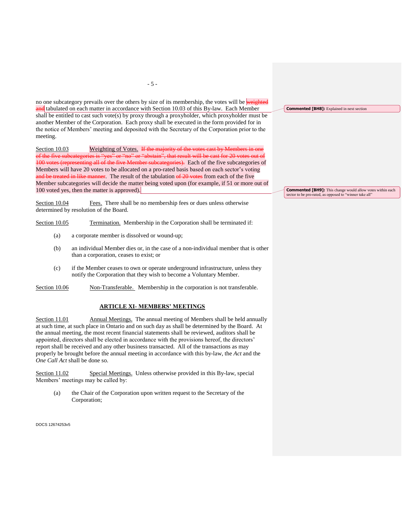no one subcategory prevails over the others by size of its membership, the votes will be weighted and tabulated on each matter in accordance with Section 10.03 of this By-law. Each Member shall be entitled to cast such vote(s) by proxy through a proxyholder, which proxyholder must be another Member of the Corporation. Each proxy shall be executed in the form provided for in the notice of Members' meeting and deposited with the Secretary of the Corporation prior to the meeting.

Section 10.03 Weighting of Votes. If the majority of the votes cast by Memb of the five subcategories is "yes" or "no" or "abstain", that result will be cast for 20 votes out of 100 votes (representing all of the five Member subcategories). Each of the five subcategories of Members will have 20 votes to be allocated on a pro-rated basis based on each sector's voting and be treated in like manner. The result of the tabulation of 20 votes from each of the five Member subcategories will decide the matter being voted upon (for example, if 51 or more out of 100 voted yes, then the matter is approved).

Section 10.04 Fees. There shall be no membership fees or dues unless otherwise determined by resolution of the Board.

Section 10.05 Termination. Membership in the Corporation shall be terminated if:

- (a) a corporate member is dissolved or wound-up;
- (b) an individual Member dies or, in the case of a non-individual member that is other than a corporation, ceases to exist; or
- (c) if the Member ceases to own or operate underground infrastructure, unless they notify the Corporation that they wish to become a Voluntary Member.

Section 10.06 Non-Transferable. Membership in the corporation is not transferable.

# **ARTICLE XI- MEMBERS' MEETINGS**

Section 11.01 Annual Meetings. The annual meeting of Members shall be held annually at such time, at such place in Ontario and on such day as shall be determined by the Board. At the annual meeting, the most recent financial statements shall be reviewed, auditors shall be appointed, directors shall be elected in accordance with the provisions hereof, the directors' report shall be received and any other business transacted. All of the transactions as may properly be brought before the annual meeting in accordance with this by-law, the *Act* and the *One Call Act* shall be done so.

Section 11.02 Special Meetings. Unless otherwise provided in this By-law, special Members' meetings may be called by:

(a) the Chair of the Corporation upon written request to the Secretary of the Corporation;

DOCS 12674253v5

**Commented [BH8]:** Explained in next section

**Commented [BH9]:** This change would allow votes within each sector to be pro-rated, as opposed to "winner take all"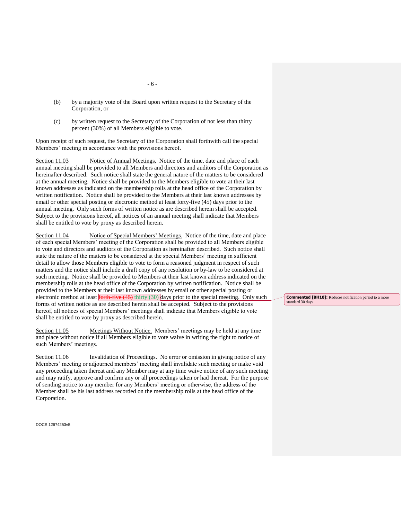- (b) by a majority vote of the Board upon written request to the Secretary of the Corporation, or
- (c) by written request to the Secretary of the Corporation of not less than thirty percent (30%) of all Members eligible to vote.

Upon receipt of such request, the Secretary of the Corporation shall forthwith call the special Members' meeting in accordance with the provisions hereof.

Section 11.03 Notice of Annual Meetings. Notice of the time, date and place of each annual meeting shall be provided to all Members and directors and auditors of the Corporation as hereinafter described. Such notice shall state the general nature of the matters to be considered at the annual meeting. Notice shall be provided to the Members eligible to vote at their last known addresses as indicated on the membership rolls at the head office of the Corporation by written notification. Notice shall be provided to the Members at their last known addresses by email or other special posting or electronic method at least forty-five (45) days prior to the annual meeting. Only such forms of written notice as are described herein shall be accepted. Subject to the provisions hereof, all notices of an annual meeting shall indicate that Members shall be entitled to vote by proxy as described herein.

Section 11.04 Notice of Special Members' Meetings. Notice of the time, date and place of each special Members' meeting of the Corporation shall be provided to all Members eligible to vote and directors and auditors of the Corporation as hereinafter described. Such notice shall state the nature of the matters to be considered at the special Members' meeting in sufficient detail to allow those Members eligible to vote to form a reasoned judgment in respect of such matters and the notice shall include a draft copy of any resolution or by-law to be considered at such meeting. Notice shall be provided to Members at their last known address indicated on the membership rolls at the head office of the Corporation by written notification. Notice shall be provided to the Members at their last known addresses by email or other special posting or electronic method at least  $\frac{\text{for the five (45)}}{\text{first (30)}}$  days prior to the special meeting. Only such forms of written notice as are described herein shall be accepted. Subject to the provisions hereof, all notices of special Members' meetings shall indicate that Members eligible to vote shall be entitled to vote by proxy as described herein.

Section 11.05 Meetings Without Notice. Members' meetings may be held at any time and place without notice if all Members eligible to vote waive in writing the right to notice of such Members' meetings.

Section 11.06 Invalidation of Proceedings. No error or omission in giving notice of any Members' meeting or adjourned members' meeting shall invalidate such meeting or make void any proceeding taken thereat and any Member may at any time waive notice of any such meeting and may ratify, approve and confirm any or all proceedings taken or had thereat. For the purpose of sending notice to any member for any Members' meeting or otherwise, the address of the Member shall be his last address recorded on the membership rolls at the head office of the Corporation.

DOCS 12674253v5

**Commented [BH10]:** Reduces notification period to a more standard 30 days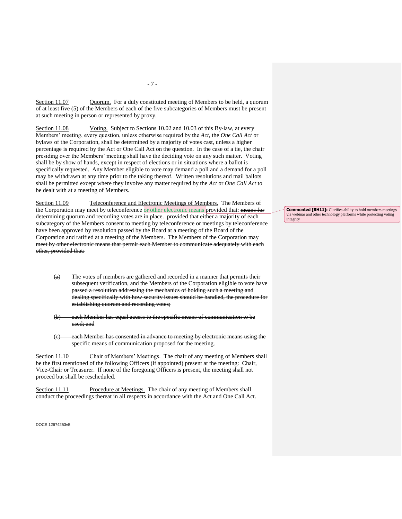Section 11.07 Quorum. For a duly constituted meeting of Members to be held, a quorum of at least five (5) of the Members of each of the five subcategories of Members must be present at such meeting in person or represented by proxy.

Section 11.08 Voting. Subject to Sections 10.02 and 10.03 of this By-law, at every Members' meeting, every question, unless otherwise required by the *Act*, the *One Call Act* or bylaws of the Corporation, shall be determined by a majority of votes cast, unless a higher percentage is required by the Act or One Call Act on the question. In the case of a tie, the chair presiding over the Members' meeting shall have the deciding vote on any such matter. Voting shall be by show of hands, except in respect of elections or in situations where a ballot is specifically requested. Any Member eligible to vote may demand a poll and a demand for a poll may be withdrawn at any time prior to the taking thereof. Written resolutions and mail ballots shall be permitted except where they involve any matter required by the *Act* or *One Call Act* to be dealt with at a meeting of Members.

Section 11.09 Teleconference and Electronic Meetings of Members. The Members of the Corporation may meet by teleconference or other electronic means provided that: means for determining quorum and recording votes are in place. provided that either a majority of each subcategory of the Members consent to meeting by teleconference or meetings by teleconference have been approved by resolution passed by the Board at a meeting of the Board of the Corporation and ratified at a meeting of the Members. The Members of the Corporation may meet by other electronic means that permit each Member to communicate adequately with each other, provided that:

- $\overline{(a)}$  The votes of members are gathered and recorded in a manner that permits their subsequent verification, and the Members of the Corporation eligible to vote have passed a resolution addressing the mechanics of holding such a meeting and dealing specifically with how security issues should be handled, the procedure for establishing quorum and recording votes;
- (b) each Member has equal access to the specific means of communication to be used; and
- each Member has consented in advance to meeting by electronic means using the specific means of communication proposed for the meeting.

Section 11.10 Chair of Members' Meetings. The chair of any meeting of Members shall be the first mentioned of the following Officers (if appointed) present at the meeting: Chair, Vice-Chair or Treasurer. If none of the foregoing Officers is present, the meeting shall not proceed but shall be rescheduled.

Section 11.11 Procedure at Meetings. The chair of any meeting of Members shall conduct the proceedings thereat in all respects in accordance with the Act and One Call Act.

DOCS 12674253v5

**Commented [BH11]:** Clarifies ability to hold members meetings via webinar and other technology platforms while protecting voting integrity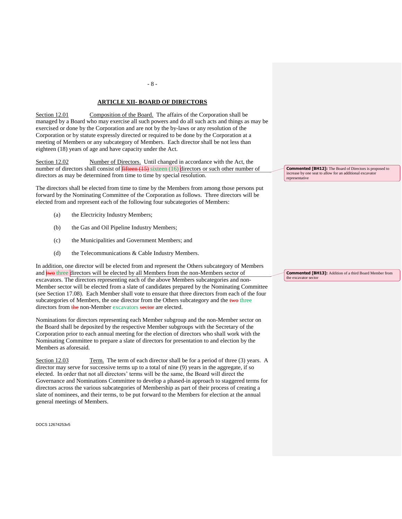# **ARTICLE XII- BOARD OF DIRECTORS**

Section 12.01 Composition of the Board. The affairs of the Corporation shall be managed by a Board who may exercise all such powers and do all such acts and things as may be exercised or done by the Corporation and are not by the by-laws or any resolution of the Corporation or by statute expressly directed or required to be done by the Corporation at a meeting of Members or any subcategory of Members. Each director shall be not less than eighteen (18) years of age and have capacity under the Act.

Section 12.02 Number of Directors. Until changed in accordance with the Act, the number of directors shall consist of  $\frac{\text{fifteen}(15)}{\text{fifteen}(16)}$  directors or such other number of directors as may be determined from time to time by special resolution.

The directors shall be elected from time to time by the Members from among those persons put forward by the Nominating Committee of the Corporation as follows. Three directors will be elected from and represent each of the following four subcategories of Members:

- (a) the Electricity Industry Members;
- (b) the Gas and Oil Pipeline Industry Members;
- (c) the Municipalities and Government Members; and
- (d) the Telecommunications & Cable Industry Members.

In addition, one director will be elected from and represent the Others subcategory of Members and two three directors will be elected by all Members from the non-Members sector of excavators. The directors representing each of the above Members subcategories and non-Member sector will be elected from a slate of candidates prepared by the Nominating Committee (see Section 17.08). Each Member shall vote to ensure that three directors from each of the four subcategories of Members, the one director from the Others subcategory and the two three directors from the non-Member excavators sector are elected.

Nominations for directors representing each Member subgroup and the non-Member sector on the Board shall be deposited by the respective Member subgroups with the Secretary of the Corporation prior to each annual meeting for the election of directors who shall work with the Nominating Committee to prepare a slate of directors for presentation to and election by the Members as aforesaid.

Section 12.03 Term. The term of each director shall be for a period of three (3) years. A director may serve for successive terms up to a total of nine (9) years in the aggregate, if so elected. In order that not all directors' terms will be the same, the Board will direct the Governance and Nominations Committee to develop a phased-in approach to staggered terms for directors across the various subcategories of Membership as part of their process of creating a slate of nominees, and their terms, to be put forward to the Members for election at the annual general meetings of Members.

DOCS 12674253v5

**Commented [BH12]:** The Board of Directors is proposed to increase by one seat to allow for an additional excavator representative

**Commented [BH13]:** Addition of a third Board Member from the excavator sector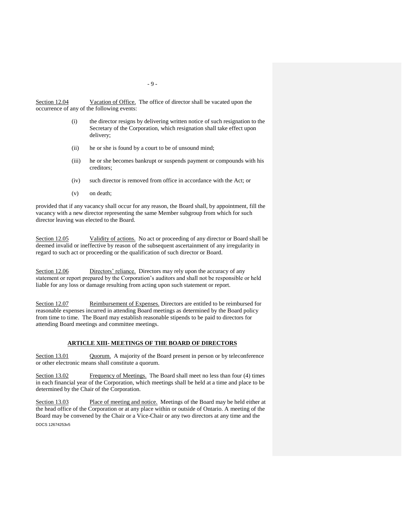Section 12.04 Vacation of Office. The office of director shall be vacated upon the occurrence of any of the following events:

- (i) the director resigns by delivering written notice of such resignation to the Secretary of the Corporation, which resignation shall take effect upon delivery;
- (ii) he or she is found by a court to be of unsound mind;
- (iii) he or she becomes bankrupt or suspends payment or compounds with his creditors;
- (iv) such director is removed from office in accordance with the Act; or
- (v) on death;

provided that if any vacancy shall occur for any reason, the Board shall, by appointment, fill the vacancy with a new director representing the same Member subgroup from which for such director leaving was elected to the Board.

Section 12.05 Validity of actions. No act or proceeding of any director or Board shall be deemed invalid or ineffective by reason of the subsequent ascertainment of any irregularity in regard to such act or proceeding or the qualification of such director or Board.

Section 12.06 Directors' reliance. Directors may rely upon the accuracy of any statement or report prepared by the Corporation's auditors and shall not be responsible or held liable for any loss or damage resulting from acting upon such statement or report.

Section 12.07 Reimbursement of Expenses. Directors are entitled to be reimbursed for reasonable expenses incurred in attending Board meetings as determined by the Board policy from time to time. The Board may establish reasonable stipends to be paid to directors for attending Board meetings and committee meetings.

#### **ARTICLE XIII- MEETINGS OF THE BOARD OF DIRECTORS**

Section 13.01 Quorum. A majority of the Board present in person or by teleconference or other electronic means shall constitute a quorum.

Section 13.02 Frequency of Meetings. The Board shall meet no less than four (4) times in each financial year of the Corporation, which meetings shall be held at a time and place to be determined by the Chair of the Corporation.

DOCS 12674253v5 Section 13.03 Place of meeting and notice. Meetings of the Board may be held either at the head office of the Corporation or at any place within or outside of Ontario. A meeting of the Board may be convened by the Chair or a Vice-Chair or any two directors at any time and the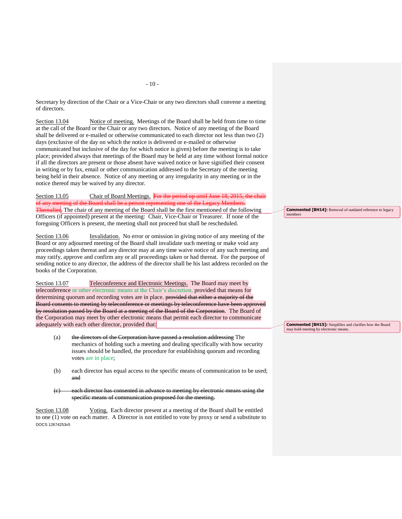of directors.

Section 13.04 Notice of meeting. Meetings of the Board shall be held from time to time at the call of the Board or the Chair or any two directors. Notice of any meeting of the Board shall be delivered or e-mailed or otherwise communicated to each director not less than two (2) days (exclusive of the day on which the notice is delivered or e-mailed or otherwise communicated but inclusive of the day for which notice is given) before the meeting is to take place; provided always that meetings of the Board may be held at any time without formal notice if all the directors are present or those absent have waived notice or have signified their consent in writing or by fax, email or other communication addressed to the Secretary of the meeting being held in their absence. Notice of any meeting or any irregularity in any meeting or in the notice thereof may be waived by any director.

Section 13.05 Chair of Board Meetings. For the period up until June 18, 2015, the chair of any meeting of the Board shall be a person representing one of the Legacy Members. Thereafter, The chair of any meeting of the Board shall be the first mentioned of the following Officers (if appointed) present at the meeting: Chair, Vice-Chair or Treasurer. If none of the foregoing Officers is present, the meeting shall not proceed but shall be rescheduled.

Section 13.06 Invalidation. No error or omission in giving notice of any meeting of the Board or any adjourned meeting of the Board shall invalidate such meeting or make void any proceedings taken thereat and any director may at any time waive notice of any such meeting and may ratify, approve and confirm any or all proceedings taken or had thereat. For the purpose of sending notice to any director, the address of the director shall be his last address recorded on the books of the Corporation.

Section 13.07 Teleconference and Electronic Meetings. The Board may meet by teleconference or other electronic means at the Chair's discretion, provided that means for determining quorum and recording votes are in place. **Provided that either a majority of the** Board consents to meeting by teleconference or meetings by teleconference have been approved by resolution passed by the Board at a meeting of the Board of the Corporation. The Board of the Corporation may meet by other electronic means that permit each director to communicate adequately with each other director, provided that:

- (a) the directors of the Corporation have passed a resolution addressing The mechanics of holding such a meeting and dealing specifically with how security issues should be handled, the procedure for establishing quorum and recording votes are in place;
- (b) each director has equal access to the specific means of communication to be used; and
- (c) each director has consented in advance to meeting by electronic means using the specific means of communication proposed for the meeting.

DOCS 12674253v5 Section 13.08 Voting. Each director present at a meeting of the Board shall be entitled to one (1) vote on each matter. A Director is not entitled to vote by proxy or send a substitute to **Commented [BH14]:** Removal of outdated reference to legacy members

**Commented [BH15]:** Simplifies and clarifies how the Board may hold meeting by electronic means.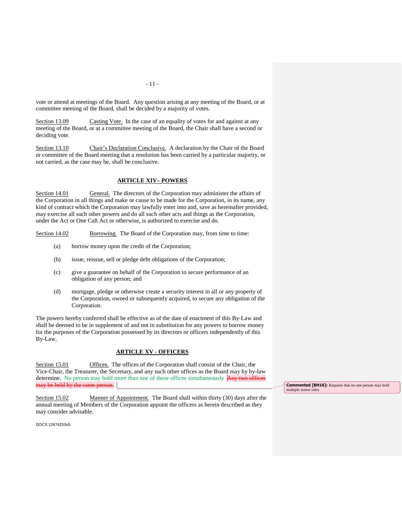vote or attend at meetings of the Board. Any question arising at any meeting of the Board, or at committee meeting of the Board, shall be decided by a majority of votes.

Section 13.09 Casting Vote. In the case of an equality of votes for and against at any meeting of the Board, or at a committee meeting of the Board, the Chair shall have a second or deciding vote.

Section 13.10 Chair's Declaration Conclusive. A declaration by the Chair of the Board or committee of the Board meeting that a resolution has been carried by a particular majority, or not carried, as the case may be, shall be conclusive.

# **ARTICLE XIV– POWERS**

Section 14.01 General. The directors of the Corporation may administer the affairs of the Corporation in all things and make or cause to be made for the Corporation, in its name, any kind of contract which the Corporation may lawfully enter into and, save as hereinafter provided, may exercise all such other powers and do all such other acts and things as the Corporation, under the Act or One Call Act or otherwise, is authorized to exercise and do.

Section 14.02 Borrowing. The Board of the Corporation may, from time to time:

- (a) borrow money upon the credit of the Corporation;
- (b) issue, reissue, sell or pledge debt obligations of the Corporation;
- (c) give a guarantee on behalf of the Corporation to secure performance of an obligation of any person; and
- (d) mortgage, pledge or otherwise create a security interest in all or any property of the Corporation, owned or subsequently acquired, to secure any obligation of the Corporation.

The powers hereby conferred shall be effective as of the date of enactment of this By-Law and shall be deemed to be in supplement of and not in substitution for any powers to borrow money for the purposes of the Corporation possessed by its directors or officers independently of this By-Law.

## **ARTICLE XV - OFFICERS**

Section 15.01 Offices. The offices of the Corporation shall consist of the Chair, the Vice-Chair, the Treasurer, the Secretary, and any such other offices as the Board may by by-law determine. No person may hold more than one of these offices simultaneously **Any two offices** may be held by the same person.

Section 15.02 Manner of Appointment. The Board shall within thirty (30) days after the annual meeting of Members of the Corporation appoint the officers as herein described as they may consider advisable.

DOCS 12674253v5

**Commented [BH16]:** Requires that no one person may hold multiple senior roles

- 11 -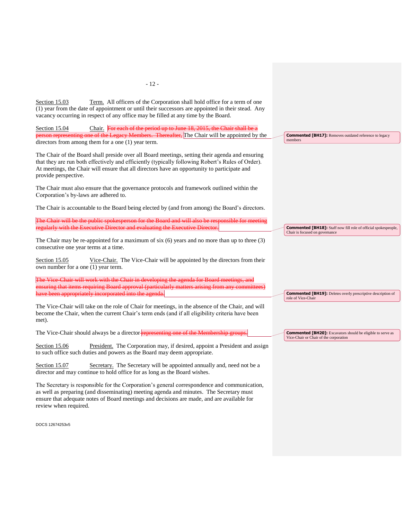Section 15.03 Term. All officers of the Corporation shall hold office for a term of one (1) year from the date of appointment or until their successors are appointed in their stead. Any vacancy occurring in respect of any office may be filled at any time by the Board. Section 15.04 Chair. For each of the period up to June 18, 2015, the Chair shall be a person representing one of the Legacy Members. Thereafter, The Chair will be appointed by the directors from among them for a one (1) year term. The Chair of the Board shall preside over all Board meetings, setting their agenda and ensuring that they are run both effectively and efficiently (typically following Robert's Rules of Order). At meetings, the Chair will ensure that all directors have an opportunity to participate and provide perspective. The Chair must also ensure that the governance protocols and framework outlined within the Corporation's by-laws are adhered to. The Chair is accountable to the Board being elected by (and from among) the Board's directors. The Chair will be the public spokesperson for the Board and will also be responsible for meeting for meeting. regularly with the Executive Director and evaluating the Executive Director. The Chair may be re-appointed for a maximum of six (6) years and no more than up to three (3) consecutive one year terms at a time. Section 15.05 Vice-Chair. The Vice-Chair will be appointed by the directors from their own number for a one (1) year term. The Vice-Chair will work with the Chair in developing the agenda for Board meetings, and ensuring that items requiring Board approval (particularly matters arising from any committees) have been appropriately incorporated into the agenda. The Vice-Chair will take on the role of Chair for meetings, in the absence of the Chair, and will become the Chair, when the current Chair's term ends (and if all eligibility criteria have been met). The Vice-Chair should always be a director representing one of the Membership groups. Section 15.06 President. The Corporation may, if desired, appoint a President and assign to such office such duties and powers as the Board may deem appropriate. Section 15.07 Secretary. The Secretary will be appointed annually and, need not be a director and may continue to hold office for as long as the Board wishes. **Commented [BH17]:** Removes outdated reference to legacy members **Commented [BH18]:** Staff now fill role of official spokespeople, Chair is focused on governance **Commented [BH19]:** Deletes overly prescriptive description of role of Vice-Chair **Commented [BH20]:** Excavators should be eligible to serve as Vice-Chair or Chair of the corporation

The Secretary is responsible for the Corporation's general correspondence and communication, as well as preparing (and disseminating) meeting agenda and minutes. The Secretary must ensure that adequate notes of Board meetings and decisions are made, and are available for review when required.

DOCS 12674253v5

- 12 -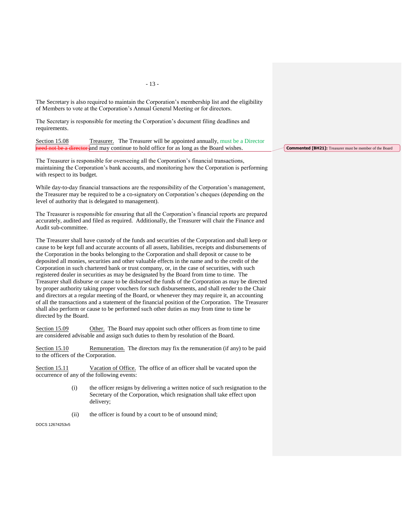The Secretary is also required to maintain the Corporation's membership list and the eligibility of Members to vote at the Corporation's Annual General Meeting or for directors.

The Secretary is responsible for meeting the Corporation's document filing deadlines and requirements.

Section 15.08 Treasurer. The Treasurer will be appointed annually, must be a Director eed not be a director and may continue to hold office for as long as the Board wishes.

The Treasurer is responsible for overseeing all the Corporation's financial transactions, maintaining the Corporation's bank accounts, and monitoring how the Corporation is performing with respect to its budget.

While day-to-day financial transactions are the responsibility of the Corporation's management, the Treasurer may be required to be a co-signatory on Corporation's cheques (depending on the level of authority that is delegated to management).

The Treasurer is responsible for ensuring that all the Corporation's financial reports are prepared accurately, audited and filed as required. Additionally, the Treasurer will chair the Finance and Audit sub-committee.

The Treasurer shall have custody of the funds and securities of the Corporation and shall keep or cause to be kept full and accurate accounts of all assets, liabilities, receipts and disbursements of the Corporation in the books belonging to the Corporation and shall deposit or cause to be deposited all monies, securities and other valuable effects in the name and to the credit of the Corporation in such chartered bank or trust company, or, in the case of securities, with such registered dealer in securities as may be designated by the Board from time to time. The Treasurer shall disburse or cause to be disbursed the funds of the Corporation as may be directed by proper authority taking proper vouchers for such disbursements, and shall render to the Chair and directors at a regular meeting of the Board, or whenever they may require it, an accounting of all the transactions and a statement of the financial position of the Corporation. The Treasurer shall also perform or cause to be performed such other duties as may from time to time be directed by the Board.

Section 15.09 Other. The Board may appoint such other officers as from time to time are considered advisable and assign such duties to them by resolution of the Board.

Section 15.10 Remuneration. The directors may fix the remuneration (if any) to be paid to the officers of the Corporation.

Section 15.11 Vacation of Office. The office of an officer shall be vacated upon the occurrence of any of the following events:

- (i) the officer resigns by delivering a written notice of such resignation to the Secretary of the Corporation, which resignation shall take effect upon delivery;
- (ii) the officer is found by a court to be of unsound mind;

DOCS 12674253v5

**Commented [BH21]:** Treasurer must be member of the Board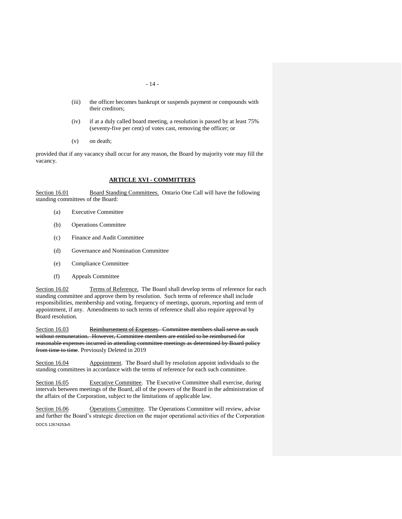- 14 -
- (iii) the officer becomes bankrupt or suspends payment or compounds with their creditors;
- (iv) if at a duly called board meeting, a resolution is passed by at least 75% (seventy-five per cent) of votes cast, removing the officer; or
- (v) on death;

provided that if any vacancy shall occur for any reason, the Board by majority vote may fill the vacancy.

# **ARTICLE XVI - COMMITTEES**

Section 16.01 Board Standing Committees. Ontario One Call will have the following standing committees of the Board:

- (a) Executive Committee
	- (b) Operations Committee
	- (c) Finance and Audit Committee
	- (d) Governance and Nomination Committee
	- (e) Compliance Committee
	- (f) Appeals Committee

Section 16.02 Terms of Reference. The Board shall develop terms of reference for each standing committee and approve them by resolution. Such terms of reference shall include responsibilities, membership and voting, frequency of meetings, quorum, reporting and term of appointment, if any. Amendments to such terms of reference shall also require approval by Board resolution.

Section 16.03 Reimbursement of Expenses. Committee members shall serve as such without remuneration. However, Committee members are entitled to be reimbursed for reasonable expenses incurred in attending committee meetings as determined by Board policy from time to time. Previously Deleted in 2019

Section 16.04 Appointment. The Board shall by resolution appoint individuals to the standing committees in accordance with the terms of reference for each such committee.

Section 16.05 Executive Committee. The Executive Committee shall exercise, during intervals between meetings of the Board, all of the powers of the Board in the administration of the affairs of the Corporation, subject to the limitations of applicable law.

DOCS 12674253v5 Section 16.06 Operations Committee. The Operations Committee will review, advise and further the Board's strategic direction on the major operational activities of the Corporation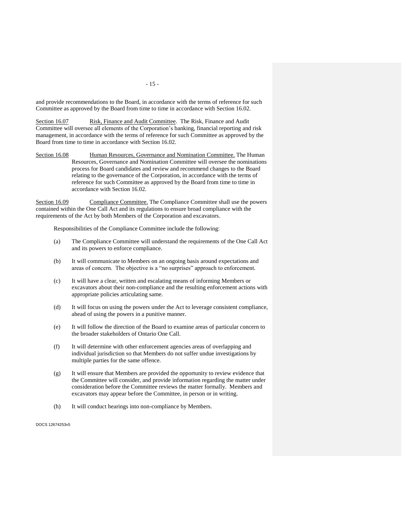and provide recommendations to the Board, in accordance with the terms of reference for such Committee as approved by the Board from time to time in accordance with Section 16.02.

Section 16.07 Risk, Finance and Audit Committee. The Risk, Finance and Audit Committee will oversee all elements of the Corporation's banking, financial reporting and risk management, in accordance with the terms of reference for such Committee as approved by the Board from time to time in accordance with Section 16.02.

Section 16.08 Human Resources, Governance and Nomination Committee. The Human Resources, Governance and Nomination Committee will oversee the nominations process for Board candidates and review and recommend changes to the Board relating to the governance of the Corporation, in accordance with the terms of reference for such Committee as approved by the Board from time to time in accordance with Section 16.02.

Section 16.09 Compliance Committee. The Compliance Committee shall use the powers contained within the One Call Act and its regulations to ensure broad compliance with the requirements of the Act by both Members of the Corporation and excavators.

Responsibilities of the Compliance Committee include the following:

- (a) The Compliance Committee will understand the requirements of the One Call Act and its powers to enforce compliance.
- (b) It will communicate to Members on an ongoing basis around expectations and areas of concern. The objective is a "no surprises" approach to enforcement.
- (c) It will have a clear, written and escalating means of informing Members or excavators about their non-compliance and the resulting enforcement actions with appropriate policies articulating same.
- (d) It will focus on using the powers under the Act to leverage consistent compliance, ahead of using the powers in a punitive manner.
- (e) It will follow the direction of the Board to examine areas of particular concern to the broader stakeholders of Ontario One Call.
- (f) It will determine with other enforcement agencies areas of overlapping and individual jurisdiction so that Members do not suffer undue investigations by multiple parties for the same offence.
- (g) It will ensure that Members are provided the opportunity to review evidence that the Committee will consider, and provide information regarding the matter under consideration before the Committee reviews the matter formally. Members and excavators may appear before the Committee, in person or in writing.
- (h) It will conduct hearings into non-compliance by Members.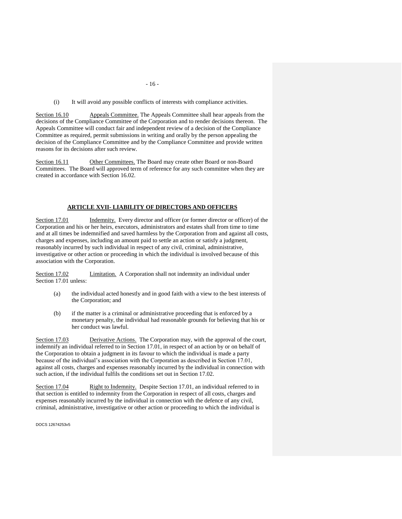(i) It will avoid any possible conflicts of interests with compliance activities.

Section 16.10 Appeals Committee. The Appeals Committee shall hear appeals from the decisions of the Compliance Committee of the Corporation and to render decisions thereon. The Appeals Committee will conduct fair and independent review of a decision of the Compliance Committee as required, permit submissions in writing and orally by the person appealing the decision of the Compliance Committee and by the Compliance Committee and provide written reasons for its decisions after such review.

Section 16.11 Other Committees. The Board may create other Board or non-Board Committees. The Board will approved term of reference for any such committee when they are created in accordance with Section 16.02.

#### **ARTICLE XVII- LIABILITY OF DIRECTORS AND OFFICERS**

Section 17.01 Indemnity. Every director and officer (or former director or officer) of the Corporation and his or her heirs, executors, administrators and estates shall from time to time and at all times be indemnified and saved harmless by the Corporation from and against all costs, charges and expenses, including an amount paid to settle an action or satisfy a judgment, reasonably incurred by such individual in respect of any civil, criminal, administrative, investigative or other action or proceeding in which the individual is involved because of this association with the Corporation.

Section 17.02 Limitation. A Corporation shall not indemnity an individual under Section 17.01 unless:

- (a) the individual acted honestly and in good faith with a view to the best interests of the Corporation; and
- (b) if the matter is a criminal or administrative proceeding that is enforced by a monetary penalty, the individual had reasonable grounds for believing that his or her conduct was lawful.

Section 17.03 Derivative Actions. The Corporation may, with the approval of the court, indemnify an individual referred to in Section 17.01, in respect of an action by or on behalf of the Corporation to obtain a judgment in its favour to which the individual is made a party because of the individual's association with the Corporation as described in Section 17.01, against all costs, charges and expenses reasonably incurred by the individual in connection with such action, if the individual fulfils the conditions set out in Section 17.02.

Section 17.04 Right to Indemnity. Despite Section 17.01, an individual referred to in that section is entitled to indemnity from the Corporation in respect of all costs, charges and expenses reasonably incurred by the individual in connection with the defence of any civil, criminal, administrative, investigative or other action or proceeding to which the individual is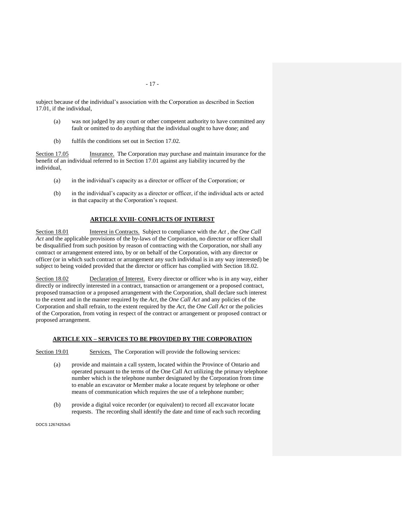subject because of the individual's association with the Corporation as described in Section 17.01, if the individual,

- (a) was not judged by any court or other competent authority to have committed any fault or omitted to do anything that the individual ought to have done; and
- (b) fulfils the conditions set out in Section 17.02.

Section 17.05 Insurance. The Corporation may purchase and maintain insurance for the benefit of an individual referred to in Section 17.01 against any liability incurred by the individual,

- (a) in the individual's capacity as a director or officer of the Corporation; or
- (b) in the individual's capacity as a director or officer, if the individual acts or acted in that capacity at the Corporation's request.

## **ARTICLE XVIII- CONFLICTS OF INTEREST**

Section 18.01 **Interest in Contracts.** Subject to compliance with the *Act*, the *One Call Act* and the applicable provisions of the by-laws of the Corporation, no director or officer shall be disqualified from such position by reason of contracting with the Corporation, nor shall any contract or arrangement entered into, by or on behalf of the Corporation, with any director or officer (or in which such contract or arrangement any such individual is in any way interested) be subject to being voided provided that the director or officer has complied with [Section 18.02.](#page-20-0)

<span id="page-20-0"></span>Section 18.02 Declaration of Interest. Every director or officer who is in any way, either directly or indirectly interested in a contract, transaction or arrangement or a proposed contract, proposed transaction or a proposed arrangement with the Corporation, shall declare such interest to the extent and in the manner required by the *Act*, the *One Call Act* and any policies of the Corporation and shall refrain, to the extent required by the *Act,* the *One Call Act* or the policies of the Corporation, from voting in respect of the contract or arrangement or proposed contract or proposed arrangement.

#### **ARTICLE XIX – SERVICES TO BE PROVIDED BY THE CORPORATION**

Section 19.01 Services. The Corporation will provide the following services:

- (a) provide and maintain a call system, located within the Province of Ontario and operated pursuant to the terms of the One Call Act utilizing the primary telephone number which is the telephone number designated by the Corporation from time to enable an excavator or Member make a locate request by telephone or other means of communication which requires the use of a telephone number;
- (b) provide a digital voice recorder (or equivalent) to record all excavator locate requests. The recording shall identify the date and time of each such recording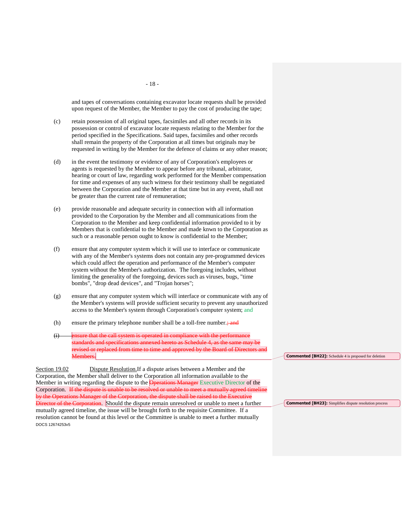and tapes of conversations containing excavator locate requests shall be provided upon request of the Member, the Member to pay the cost of producing the tape;

- (c) retain possession of all original tapes, facsimiles and all other records in its possession or control of excavator locate requests relating to the Member for the period specified in the Specifications. Said tapes, facsimiles and other records shall remain the property of the Corporation at all times but originals may be requested in writing by the Member for the defence of claims or any other reason;
- (d) in the event the testimony or evidence of any of Corporation's employees or agents is requested by the Member to appear before any tribunal, arbitrator, hearing or court of law, regarding work performed for the Member compensation for time and expenses of any such witness for their testimony shall be negotiated between the Corporation and the Member at that time but in any event, shall not be greater than the current rate of remuneration;
- (e) provide reasonable and adequate security in connection with all information provided to the Corporation by the Member and all communications from the Corporation to the Member and keep confidential information provided to it by Members that is confidential to the Member and made knwn to the Corporation as such or a reasonable person ought to know is confidential to the Member;
- (f) ensure that any computer system which it will use to interface or communicate with any of the Member's systems does not contain any pre-programmed devices which could affect the operation and performance of the Member's computer system without the Member's authorization. The foregoing includes, without limiting the generality of the foregoing, devices such as viruses, bugs, "time bombs", "drop dead devices", and "Trojan horses";
- (g) ensure that any computer system which will interface or communicate with any of the Member's systems will provide sufficient security to prevent any unauthorized access to the Member's system through Corporation's computer system; and
- (h) ensure the primary telephone number shall be a toll-free number.; and
- (i) ensure that the call system is operated in compliance with the performance standards and specifications annexed hereto as Schedule 4, as revised or replaced from time to time and approved by the Board of Directors Members.

DOCS 12674253v5 Section 19.02 Dispute Resolution.If a dispute arises between a Member and the Corporation, the Member shall deliver to the Corporation all information available to the Member in writing regarding the dispute to the **Operations Manager** Executive Director of the Corporation. If the dispute is unable to be resolved or unable to meet a mutually agreed timeline by the Operations Manager of the Corporation, the dispute shall be raised to the Executive Director of the Corporation. Should the dispute remain unresolved or unable to meet a further mutually agreed timeline, the issue will be brought forth to the requisite Committee. If a resolution cannot be found at this level or the Committee is unable to meet a further mutually

**Commented [BH22]:** Schedule 4 is proposed for deletion

**Commented [BH23]:** Simplifies dispute resolution process

- 18 -